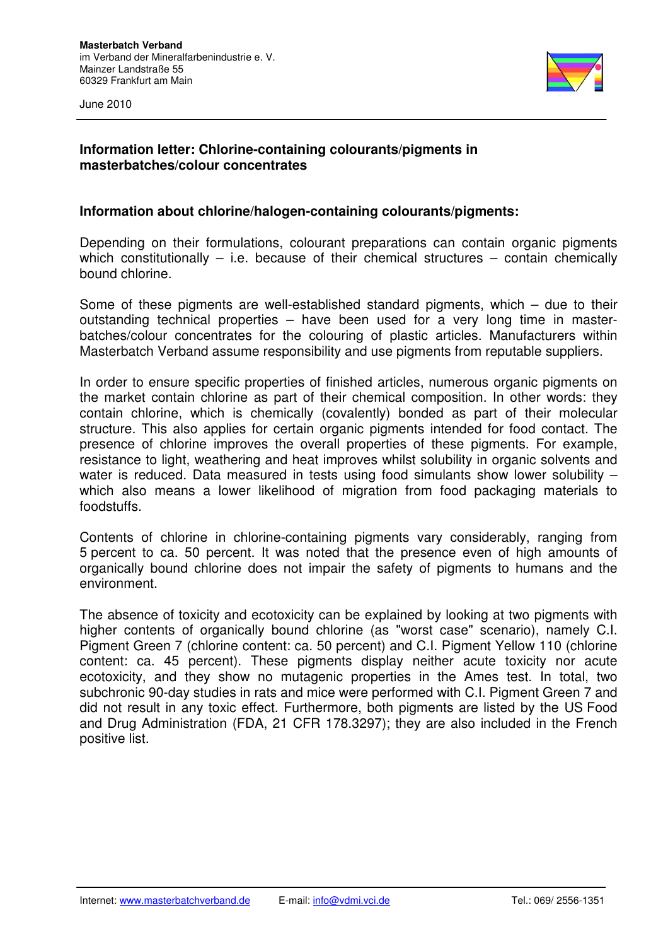



# **Information letter: Chlorine-containing colourants/pigments in masterbatches/colour concentrates**

# **Information about chlorine/halogen-containing colourants/pigments:**

Depending on their formulations, colourant preparations can contain organic pigments which constitutionally  $-$  i.e. because of their chemical structures  $-$  contain chemically bound chlorine.

Some of these pigments are well-established standard pigments, which – due to their outstanding technical properties – have been used for a very long time in masterbatches/colour concentrates for the colouring of plastic articles. Manufacturers within Masterbatch Verband assume responsibility and use pigments from reputable suppliers.

In order to ensure specific properties of finished articles, numerous organic pigments on the market contain chlorine as part of their chemical composition. In other words: they contain chlorine, which is chemically (covalently) bonded as part of their molecular structure. This also applies for certain organic pigments intended for food contact. The presence of chlorine improves the overall properties of these pigments. For example, resistance to light, weathering and heat improves whilst solubility in organic solvents and water is reduced. Data measured in tests using food simulants show lower solubility – which also means a lower likelihood of migration from food packaging materials to foodstuffs.

Contents of chlorine in chlorine-containing pigments vary considerably, ranging from 5 percent to ca. 50 percent. It was noted that the presence even of high amounts of organically bound chlorine does not impair the safety of pigments to humans and the environment.

The absence of toxicity and ecotoxicity can be explained by looking at two pigments with higher contents of organically bound chlorine (as "worst case" scenario), namely C.I. Pigment Green 7 (chlorine content: ca. 50 percent) and C.I. Pigment Yellow 110 (chlorine content: ca. 45 percent). These pigments display neither acute toxicity nor acute ecotoxicity, and they show no mutagenic properties in the Ames test. In total, two subchronic 90-day studies in rats and mice were performed with C.I. Pigment Green 7 and did not result in any toxic effect. Furthermore, both pigments are listed by the US Food and Drug Administration (FDA, 21 CFR 178.3297); they are also included in the French positive list.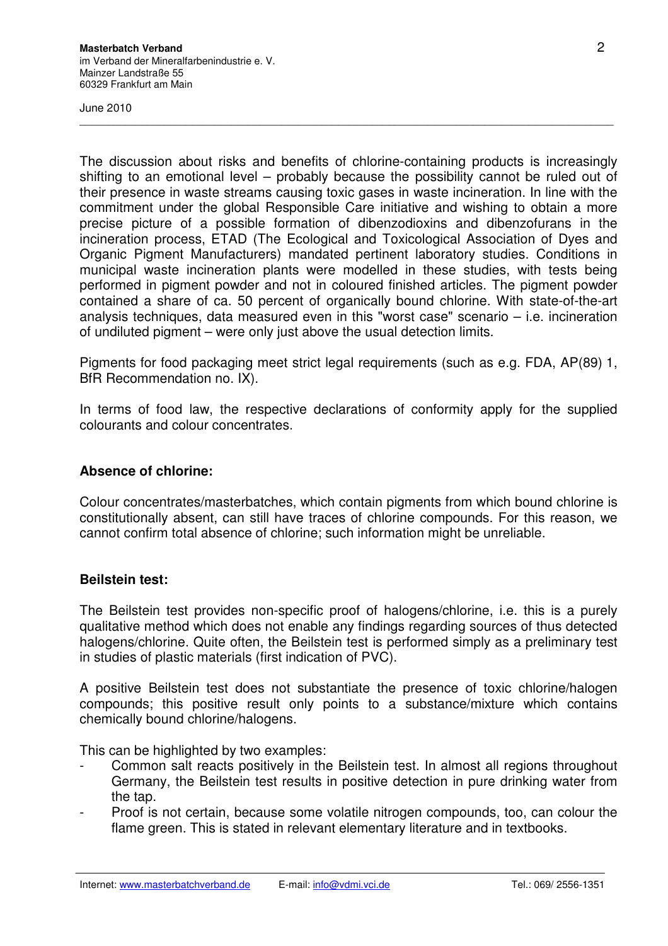June 2010

The discussion about risks and benefits of chlorine-containing products is increasingly shifting to an emotional level – probably because the possibility cannot be ruled out of their presence in waste streams causing toxic gases in waste incineration. In line with the commitment under the global Responsible Care initiative and wishing to obtain a more precise picture of a possible formation of dibenzodioxins and dibenzofurans in the incineration process, ETAD (The Ecological and Toxicological Association of Dyes and Organic Pigment Manufacturers) mandated pertinent laboratory studies. Conditions in municipal waste incineration plants were modelled in these studies, with tests being performed in pigment powder and not in coloured finished articles. The pigment powder contained a share of ca. 50 percent of organically bound chlorine. With state-of-the-art analysis techniques, data measured even in this "worst case" scenario – i.e. incineration of undiluted pigment – were only just above the usual detection limits.

 $\overline{\phantom{a}}$  , and the contribution of the contribution of the contribution of the contribution of the contribution of the contribution of the contribution of the contribution of the contribution of the contribution of the

Pigments for food packaging meet strict legal requirements (such as e.g. FDA, AP(89) 1, BfR Recommendation no. IX).

In terms of food law, the respective declarations of conformity apply for the supplied colourants and colour concentrates.

### **Absence of chlorine:**

Colour concentrates/masterbatches, which contain pigments from which bound chlorine is constitutionally absent, can still have traces of chlorine compounds. For this reason, we cannot confirm total absence of chlorine; such information might be unreliable.

### **Beilstein test:**

The Beilstein test provides non-specific proof of halogens/chlorine, i.e. this is a purely qualitative method which does not enable any findings regarding sources of thus detected halogens/chlorine. Quite often, the Beilstein test is performed simply as a preliminary test in studies of plastic materials (first indication of PVC).

A positive Beilstein test does not substantiate the presence of toxic chlorine/halogen compounds; this positive result only points to a substance/mixture which contains chemically bound chlorine/halogens.

This can be highlighted by two examples:

- Common salt reacts positively in the Beilstein test. In almost all regions throughout Germany, the Beilstein test results in positive detection in pure drinking water from the tap.
- Proof is not certain, because some volatile nitrogen compounds, too, can colour the flame green. This is stated in relevant elementary literature and in textbooks.